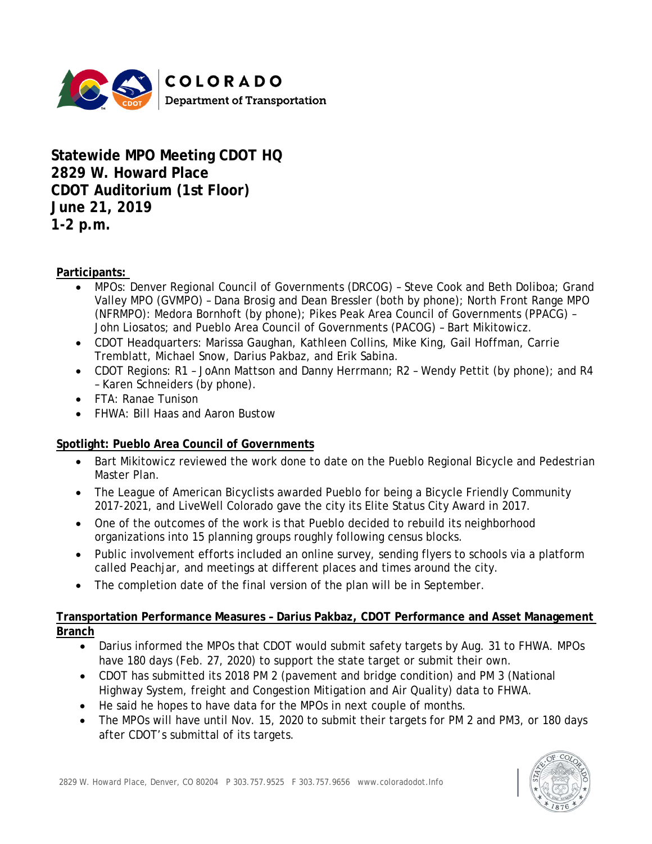

**Statewide MPO Meeting CDOT HQ 2829 W. Howard Place CDOT Auditorium (1st Floor) June 21, 2019 1-2 p.m.**

**Participants:**

- MPOs: Denver Regional Council of Governments (DRCOG) Steve Cook and Beth Doliboa; Grand Valley MPO (GVMPO) – Dana Brosig and Dean Bressler (both by phone); North Front Range MPO (NFRMPO): Medora Bornhoft (by phone); Pikes Peak Area Council of Governments (PPACG) – John Liosatos; and Pueblo Area Council of Governments (PACOG) – Bart Mikitowicz.
- CDOT Headquarters: Marissa Gaughan, Kathleen Collins, Mike King, Gail Hoffman, Carrie Tremblatt, Michael Snow, Darius Pakbaz, and Erik Sabina.
- CDOT Regions: R1 JoAnn Mattson and Danny Herrmann; R2 Wendy Pettit (by phone); and R4 – Karen Schneiders (by phone).
- FTA: Ranae Tunison
- FHWA: Bill Haas and Aaron Bustow

### **Spotlight: Pueblo Area Council of Governments**

- Bart Mikitowicz reviewed the work done to date on the Pueblo Regional Bicycle and Pedestrian Master Plan.
- The League of American Bicyclists awarded Pueblo for being a Bicycle Friendly Community 2017-2021, and LiveWell Colorado gave the city its Elite Status City Award in 2017.
- One of the outcomes of the work is that Pueblo decided to rebuild its neighborhood organizations into 15 planning groups roughly following census blocks.
- Public involvement efforts included an online survey, sending flyers to schools via a platform called Peachjar, and meetings at different places and times around the city.
- The completion date of the final version of the plan will be in September.

#### **Transportation Performance Measures – Darius Pakbaz, CDOT Performance and Asset Management Branch**

- Darius informed the MPOs that CDOT would submit safety targets by Aug. 31 to FHWA. MPOs have 180 days (Feb. 27, 2020) to support the state target or submit their own.
- CDOT has submitted its 2018 PM 2 (pavement and bridge condition) and PM 3 (National Highway System, freight and Congestion Mitigation and Air Quality) data to FHWA.
- He said he hopes to have data for the MPOs in next couple of months.
- The MPOs will have until Nov. 15, 2020 to submit their targets for PM 2 and PM3, or 180 days after CDOT's submittal of its targets.

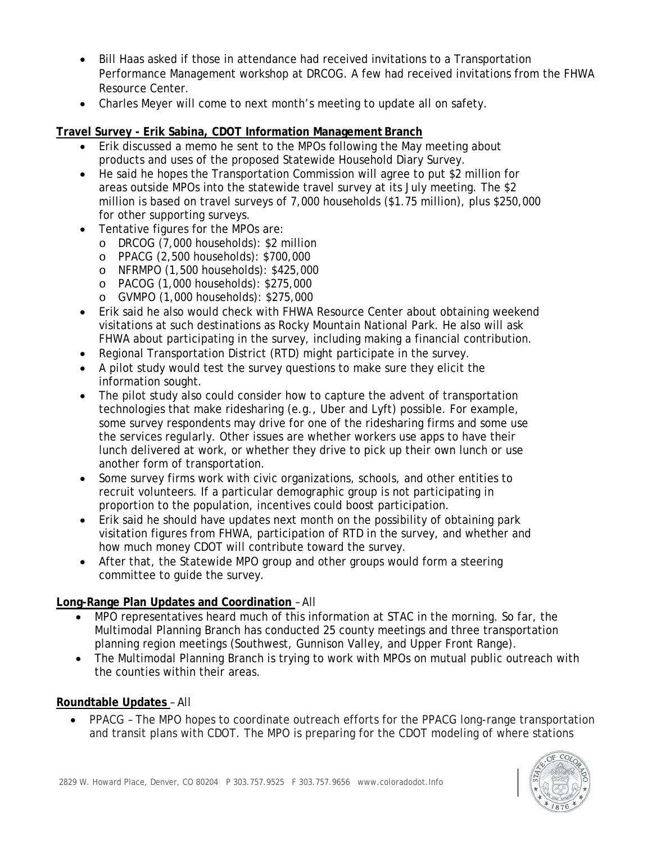- Bill Haas asked if those in attendance had received invitations to a Transportation Performance Management workshop at DRCOG. A few had received invitations from the FHWA Resource Center.
- Charles Meyer will come to next month's meeting to update all on safety.

#### **Travel Survey - Erik Sabina, CDOT Information Management Branch**

- Erik discussed a memo he sent to the MPOs following the May meeting about products and uses of the proposed Statewide Household Diary Survey.
- He said he hopes the Transportation Commission will agree to put \$2 million for areas outside MPOs into the statewide travel survey at its July meeting. The \$2 million is based on travel surveys of 7,000 households (\$1.75 million), plus \$250,000 for other supporting surveys.
- Tentative figures for the MPOs are:
	- o DRCOG (7,000 households): \$2 million
	- o PPACG (2,500 households): \$700,000
	- o NFRMPO (1,500 households): \$425,000
	- o PACOG (1,000 households): \$275,000
	- o GVMPO (1,000 households): \$275,000
- Erik said he also would check with FHWA Resource Center about obtaining weekend visitations at such destinations as Rocky Mountain National Park. He also will ask FHWA about participating in the survey, including making a financial contribution.
- Regional Transportation District (RTD) might participate in the survey.
- A pilot study would test the survey questions to make sure they elicit the information sought.
- The pilot study also could consider how to capture the advent of transportation technologies that make ridesharing (e.g., Uber and Lyft) possible. For example, some survey respondents may drive for one of the ridesharing firms and some use the services regularly. Other issues are whether workers use apps to have their lunch delivered at work, or whether they drive to pick up their own lunch or use another form of transportation.
- Some survey firms work with civic organizations, schools, and other entities to recruit volunteers. If a particular demographic group is not participating in proportion to the population, incentives could boost participation.
- Erik said he should have updates next month on the possibility of obtaining park visitation figures from FHWA, participation of RTD in the survey, and whether and how much money CDOT will contribute toward the survey.
- After that, the Statewide MPO group and other groups would form a steering committee to guide the survey.

### **Long-Range Plan Updates and Coordination** – All

- MPO representatives heard much of this information at STAC in the morning. So far, the Multimodal Planning Branch has conducted 25 county meetings and three transportation planning region meetings (Southwest, Gunnison Valley, and Upper Front Range).
- The Multimodal Planning Branch is trying to work with MPOs on mutual public outreach with the counties within their areas.

### **Roundtable Updates** – All

• PPACG – The MPO hopes to coordinate outreach efforts for the PPACG long-range transportation and transit plans with CDOT. The MPO is preparing for the CDOT modeling of where stations